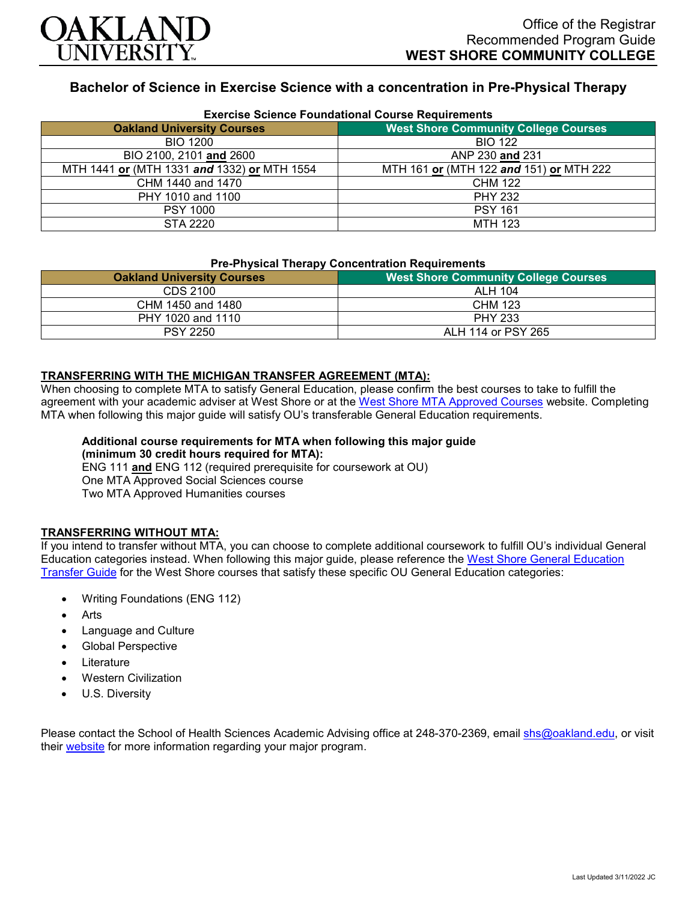

# **Bachelor of Science in Exercise Science with a concentration in Pre-Physical Therapy**

| <b>Exercise Science Foundational Course Requirements</b> |                                             |
|----------------------------------------------------------|---------------------------------------------|
| <b>Oakland University Courses</b>                        | <b>West Shore Community College Courses</b> |
| <b>BIO 1200</b>                                          | <b>BIO 122</b>                              |
| BIO 2100, 2101 and 2600                                  | ANP 230 and 231                             |
| MTH 1441 or (MTH 1331 and 1332) or MTH 1554              | MTH 161 or (MTH 122 and 151) or MTH 222     |
| CHM 1440 and 1470                                        | <b>CHM 122</b>                              |
| PHY 1010 and 1100                                        | <b>PHY 232</b>                              |
| <b>PSY 1000</b>                                          | <b>PSY 161</b>                              |
| STA 2220                                                 | <b>MTH 123</b>                              |

#### **Pre-Physical Therapy Concentration Requirements**

| <b>West Shore Community College Courses</b> |  |
|---------------------------------------------|--|
| ALH 104                                     |  |
| CHM 123                                     |  |
| <b>PHY 233</b>                              |  |
| ALH 114 or PSY 265                          |  |
|                                             |  |

### **TRANSFERRING WITH THE MICHIGAN TRANSFER AGREEMENT (MTA):**

When choosing to complete MTA to satisfy General Education, please confirm the best courses to take to fulfill the agreement with your academic adviser at West Shore or at the [West Shore MTA Approved Courses](https://www.westshore.edu/admissions/transfer-students/) website. Completing MTA when following this major guide will satisfy OU's transferable General Education requirements.

#### **Additional course requirements for MTA when following this major guide (minimum 30 credit hours required for MTA):** ENG 111 **and** ENG 112 (required prerequisite for coursework at OU)

One MTA Approved Social Sciences course

Two MTA Approved Humanities courses

## **TRANSFERRING WITHOUT MTA:**

If you intend to transfer without MTA, you can choose to complete additional coursework to fulfill OU's individual General Education categories instead. When following this major guide, please reference the [West Shore General Education](https://www.oakland.edu/Assets/Oakland/program-guides/west-shore-community-college/university-general-education-requirements/West%20Shore%20Gen%20Ed.pdf)  [Transfer Guide](https://www.oakland.edu/Assets/Oakland/program-guides/west-shore-community-college/university-general-education-requirements/West%20Shore%20Gen%20Ed.pdf) for the West Shore courses that satisfy these specific OU General Education categories:

- Writing Foundations (ENG 112)
- **Arts**
- Language and Culture
- Global Perspective
- **Literature**
- Western Civilization
- U.S. Diversity

Please contact the School of Health Sciences Academic Advising office at 248-370-2369, email [shs@oakland.edu,](mailto:shs@oakland.edu) or visit their [website](http://www.oakland.edu/shs/advising) for more information regarding your major program.